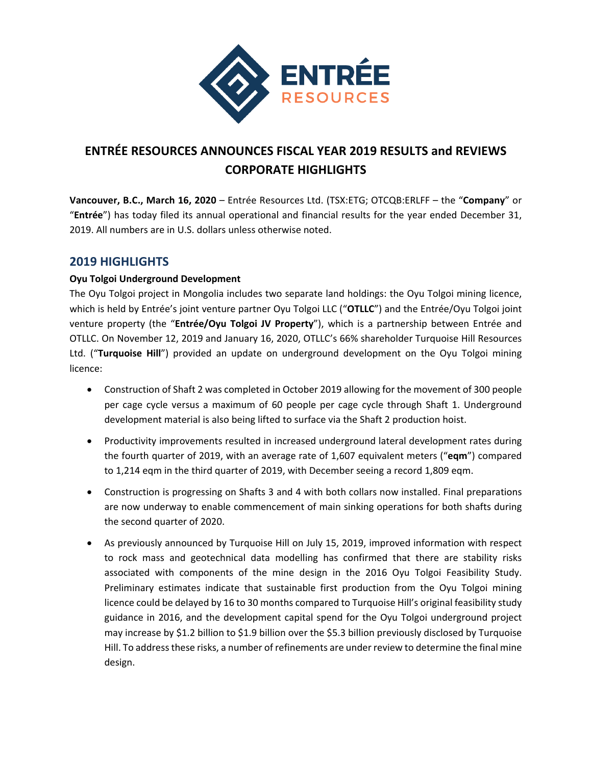

# **ENTRÉE RESOURCES ANNOUNCES FISCAL YEAR 2019 RESULTS and REVIEWS CORPORATE HIGHLIGHTS**

**Vancouver, B.C., March 16, 2020** – Entrée Resources Ltd. (TSX:ETG; OTCQB:ERLFF – the "**Company**" or "**Entrée**") has today filed its annual operational and financial results for the year ended December 31, 2019. All numbers are in U.S. dollars unless otherwise noted.

# **2019 HIGHLIGHTS**

### **Oyu Tolgoi Underground Development**

The Oyu Tolgoi project in Mongolia includes two separate land holdings: the Oyu Tolgoi mining licence, which is held by Entrée's joint venture partner Oyu Tolgoi LLC ("**OTLLC**") and the Entrée/Oyu Tolgoi joint venture property (the "**Entrée/Oyu Tolgoi JV Property**"), which is a partnership between Entrée and OTLLC. On November 12, 2019 and January 16, 2020, OTLLC's 66% shareholder Turquoise Hill Resources Ltd. ("**Turquoise Hill**") provided an update on underground development on the Oyu Tolgoi mining licence:

- Construction of Shaft 2 was completed in October 2019 allowing for the movement of 300 people per cage cycle versus a maximum of 60 people per cage cycle through Shaft 1. Underground development material is also being lifted to surface via the Shaft 2 production hoist.
- Productivity improvements resulted in increased underground lateral development rates during the fourth quarter of 2019, with an average rate of 1,607 equivalent meters ("**eqm**") compared to 1,214 eqm in the third quarter of 2019, with December seeing a record 1,809 eqm.
- Construction is progressing on Shafts 3 and 4 with both collars now installed. Final preparations are now underway to enable commencement of main sinking operations for both shafts during the second quarter of 2020.
- As previously announced by Turquoise Hill on July 15, 2019, improved information with respect to rock mass and geotechnical data modelling has confirmed that there are stability risks associated with components of the mine design in the 2016 Oyu Tolgoi Feasibility Study. Preliminary estimates indicate that sustainable first production from the Oyu Tolgoi mining licence could be delayed by 16 to 30 months compared to Turquoise Hill's original feasibility study guidance in 2016, and the development capital spend for the Oyu Tolgoi underground project may increase by \$1.2 billion to \$1.9 billion over the \$5.3 billion previously disclosed by Turquoise Hill. To addressthese risks, a number of refinements are under review to determine the final mine design.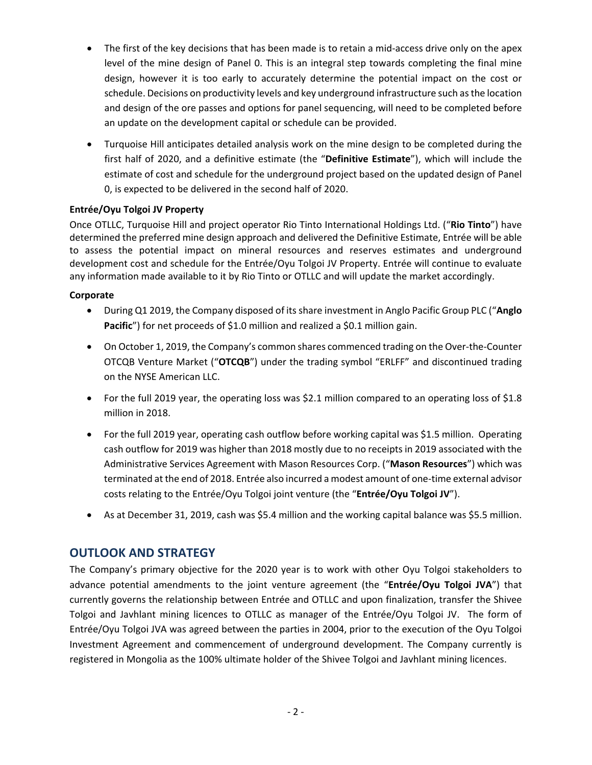- The first of the key decisions that has been made is to retain a mid‐access drive only on the apex level of the mine design of Panel 0. This is an integral step towards completing the final mine design, however it is too early to accurately determine the potential impact on the cost or schedule. Decisions on productivity levels and key underground infrastructure such asthe location and design of the ore passes and options for panel sequencing, will need to be completed before an update on the development capital or schedule can be provided.
- Turquoise Hill anticipates detailed analysis work on the mine design to be completed during the first half of 2020, and a definitive estimate (the "**Definitive Estimate**"), which will include the estimate of cost and schedule for the underground project based on the updated design of Panel 0, is expected to be delivered in the second half of 2020.

### **Entrée/Oyu Tolgoi JV Property**

Once OTLLC, Turquoise Hill and project operator Rio Tinto International Holdings Ltd. ("**Rio Tinto**") have determined the preferred mine design approach and delivered the Definitive Estimate, Entrée will be able to assess the potential impact on mineral resources and reserves estimates and underground development cost and schedule for the Entrée/Oyu Tolgoi JV Property. Entrée will continue to evaluate any information made available to it by Rio Tinto or OTLLC and will update the market accordingly.

### **Corporate**

- During Q1 2019, the Company disposed of itsshare investment in Anglo Pacific Group PLC ("**Anglo Pacific**") for net proceeds of \$1.0 million and realized a \$0.1 million gain.
- On October 1, 2019, the Company's common shares commenced trading on the Over-the-Counter OTCQB Venture Market ("**OTCQB**") under the trading symbol "ERLFF" and discontinued trading on the NYSE American LLC.
- For the full 2019 year, the operating loss was \$2.1 million compared to an operating loss of \$1.8 million in 2018.
- For the full 2019 year, operating cash outflow before working capital was \$1.5 million. Operating cash outflow for 2019 was higher than 2018 mostly due to no receipts in 2019 associated with the Administrative Services Agreement with Mason Resources Corp. ("**Mason Resources**") which was terminated at the end of 2018. Entrée also incurred a modest amount of one‐time external advisor costs relating to the Entrée/Oyu Tolgoi joint venture (the "**Entrée/Oyu Tolgoi JV**").
- As at December 31, 2019, cash was \$5.4 million and the working capital balance was \$5.5 million.

# **OUTLOOK AND STRATEGY**

The Company's primary objective for the 2020 year is to work with other Oyu Tolgoi stakeholders to advance potential amendments to the joint venture agreement (the "**Entrée/Oyu Tolgoi JVA**") that currently governs the relationship between Entrée and OTLLC and upon finalization, transfer the Shivee Tolgoi and Javhlant mining licences to OTLLC as manager of the Entrée/Oyu Tolgoi JV. The form of Entrée/Oyu Tolgoi JVA was agreed between the parties in 2004, prior to the execution of the Oyu Tolgoi Investment Agreement and commencement of underground development. The Company currently is registered in Mongolia as the 100% ultimate holder of the Shivee Tolgoi and Javhlant mining licences.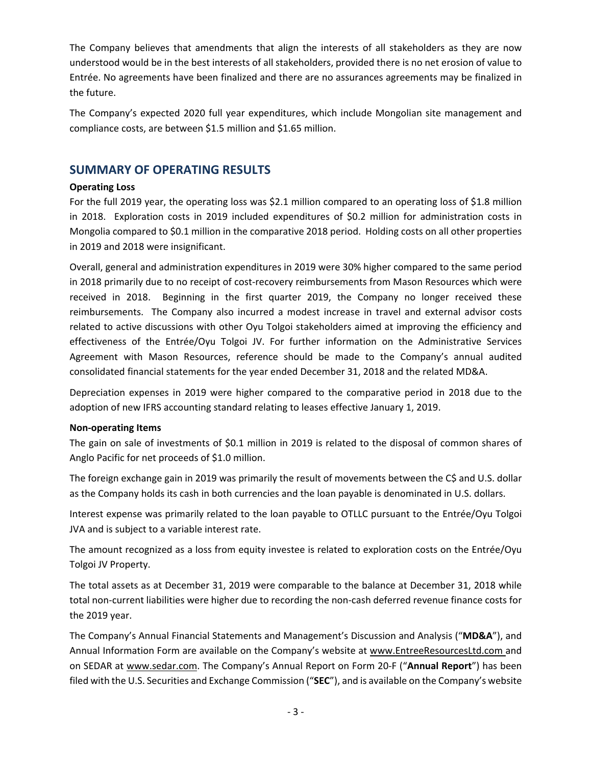The Company believes that amendments that align the interests of all stakeholders as they are now understood would be in the best interests of all stakeholders, provided there is no net erosion of value to Entrée. No agreements have been finalized and there are no assurances agreements may be finalized in the future.

The Company's expected 2020 full year expenditures, which include Mongolian site management and compliance costs, are between \$1.5 million and \$1.65 million.

## **SUMMARY OF OPERATING RESULTS**

### **Operating Loss**

For the full 2019 year, the operating loss was \$2.1 million compared to an operating loss of \$1.8 million in 2018. Exploration costs in 2019 included expenditures of \$0.2 million for administration costs in Mongolia compared to \$0.1 million in the comparative 2018 period. Holding costs on all other properties in 2019 and 2018 were insignificant.

Overall, general and administration expenditures in 2019 were 30% higher compared to the same period in 2018 primarily due to no receipt of cost-recovery reimbursements from Mason Resources which were received in 2018. Beginning in the first quarter 2019, the Company no longer received these reimbursements. The Company also incurred a modest increase in travel and external advisor costs related to active discussions with other Oyu Tolgoi stakeholders aimed at improving the efficiency and effectiveness of the Entrée/Oyu Tolgoi JV. For further information on the Administrative Services Agreement with Mason Resources, reference should be made to the Company's annual audited consolidated financial statements for the year ended December 31, 2018 and the related MD&A.

Depreciation expenses in 2019 were higher compared to the comparative period in 2018 due to the adoption of new IFRS accounting standard relating to leases effective January 1, 2019.

#### **Non‐operating Items**

The gain on sale of investments of \$0.1 million in 2019 is related to the disposal of common shares of Anglo Pacific for net proceeds of \$1.0 million.

The foreign exchange gain in 2019 was primarily the result of movements between the C\$ and U.S. dollar as the Company holds its cash in both currencies and the loan payable is denominated in U.S. dollars.

Interest expense was primarily related to the loan payable to OTLLC pursuant to the Entrée/Oyu Tolgoi JVA and is subject to a variable interest rate.

The amount recognized as a loss from equity investee is related to exploration costs on the Entrée/Oyu Tolgoi JV Property.

The total assets as at December 31, 2019 were comparable to the balance at December 31, 2018 while total non‐current liabilities were higher due to recording the non‐cash deferred revenue finance costs for the 2019 year.

The Company's Annual Financial Statements and Management's Discussion and Analysis ("**MD&A**"), and Annual Information Form are available on the Company's website at www.EntreeResourcesLtd.com and on SEDAR at www.sedar.com. The Company's Annual Report on Form 20‐F ("**Annual Report**") has been filed with the U.S. Securities and Exchange Commission ("**SEC**"), and is available on the Company's website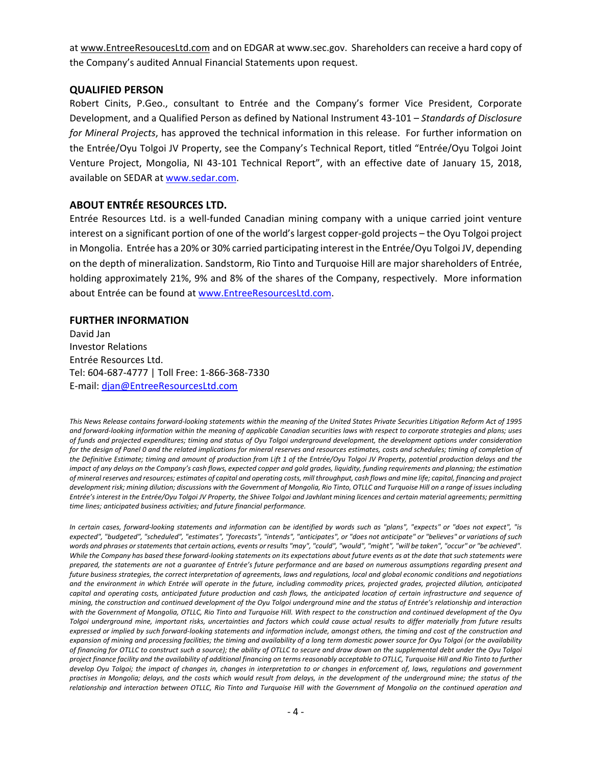at www.EntreeResoucesLtd.com and on EDGAR at www.sec.gov. Shareholders can receive a hard copy of the Company's audited Annual Financial Statements upon request.

#### **QUALIFIED PERSON**

Robert Cinits, P.Geo., consultant to Entrée and the Company's former Vice President, Corporate Development, and a Qualified Person as defined by National Instrument 43‐101 – *Standards of Disclosure for Mineral Projects*, has approved the technical information in this release.For further information on the Entrée/Oyu Tolgoi JV Property, see the Company's Technical Report, titled "Entrée/Oyu Tolgoi Joint Venture Project, Mongolia, NI 43‐101 Technical Report", with an effective date of January 15, 2018, available on SEDAR at www.sedar.com.

### **ABOUT ENTRÉE RESOURCES LTD.**

Entrée Resources Ltd. is a well‐funded Canadian mining company with a unique carried joint venture interest on a significant portion of one of the world'slargest copper‐gold projects – the Oyu Tolgoi project in Mongolia. Entrée has a 20% or 30% carried participating interestin the Entrée/Oyu Tolgoi JV, depending on the depth of mineralization. Sandstorm, Rio Tinto and Turquoise Hill are major shareholders of Entrée, holding approximately 21%, 9% and 8% of the shares of the Company, respectively. More information about Entrée can be found at www.EntreeResourcesLtd.com.

#### **FURTHER INFORMATION**

David Jan Investor Relations Entrée Resources Ltd. Tel: 604‐687‐4777 | Toll Free: 1‐866‐368‐7330 E‐mail: djan@EntreeResourcesLtd.com

This News Release contains forward-looking statements within the meaning of the United States Private Securities Litigation Reform Act of 1995 and forward-looking information within the meaning of applicable Canadian securities laws with respect to corporate strategies and plans; uses of funds and projected expenditures; timing and status of Oyu Tolgoi underground development, the development options under consideration for the design of Panel 0 and the related implications for mineral reserves and resources estimates, costs and schedules; timing of completion of the Definitive Estimate; timing and amount of production from Lift 1 of the Entrée/Oyu Tolgoi JV Property, potential production delays and the impact of any delays on the Company's cash flows, expected copper and gold grades, liquidity, funding requirements and planning; the estimation of mineral reserves and resources; estimates of capital and operating costs, mill throughput, cash flows and mine life; capital, financing and project development risk; mining dilution; discussions with the Government of Mongolia, Rio Tinto, OTLLC and Turguoise Hill on a range of issues including Entrée's interest in the Entrée/Oyu Tolgoi JV Property, the Shivee Tolgoi and Javhlant mining licences and certain material agreements; permitting *time lines; anticipated business activities; and future financial performance.*

In certain cases, forward-looking statements and information can be identified by words such as "plans", "expects" or "does not expect", "is expected", "budgeted", "scheduled", "estimates", "forecasts", "intends", "anticipates", or "does not anticipate" or "believes" or variations of such words and phrases or statements that certain actions, events or results "may", "could", "would", "might", "will be taken", "occur" or "be achieved". While the Company has based these forward-looking statements on its expectations about future events as at the date that such statements were prepared, the statements are not a guarantee of Entrée's future performance and are based on numerous assumptions regarding present and future business strategies, the correct interpretation of agreements, laws and regulations, local and global economic conditions and negotiations and the environment in which Entrée will operate in the future, including commodity prices, projected grades, projected dilution, anticipated capital and operating costs, anticipated future production and cash flows, the anticipated location of certain infrastructure and sequence of mining, the construction and continued development of the Oyu Tolgoi underground mine and the status of Entrée's relationship and interaction with the Government of Mongolia, OTLLC, Rio Tinto and Turquoise Hill. With respect to the construction and continued development of the Oyu Tolgoi underground mine, important risks, uncertainties and factors which could cause actual results to differ materially from future results expressed or implied by such forward-looking statements and information include, amongst others, the timing and cost of the construction and expansion of mining and processing facilities; the timing and availability of a long term domestic power source for Oyu Tolgoi (or the availability of financing for OTLLC to construct such a source); the ability of OTLLC to secure and draw down on the supplemental debt under the Oyu Tolgoi project finance facility and the availability of additional financing on terms reasonably acceptable to OTLLC, Turquoise Hill and Rio Tinto to further develop Oyu Tolgoi; the impact of changes in, changes in interpretation to or changes in enforcement of, laws, regulations and government practises in Mongolia; delays, and the costs which would result from delays, in the development of the underground mine; the status of the relationship and interaction between OTLLC, Rio Tinto and Turquoise Hill with the Government of Mongolia on the continued operation and